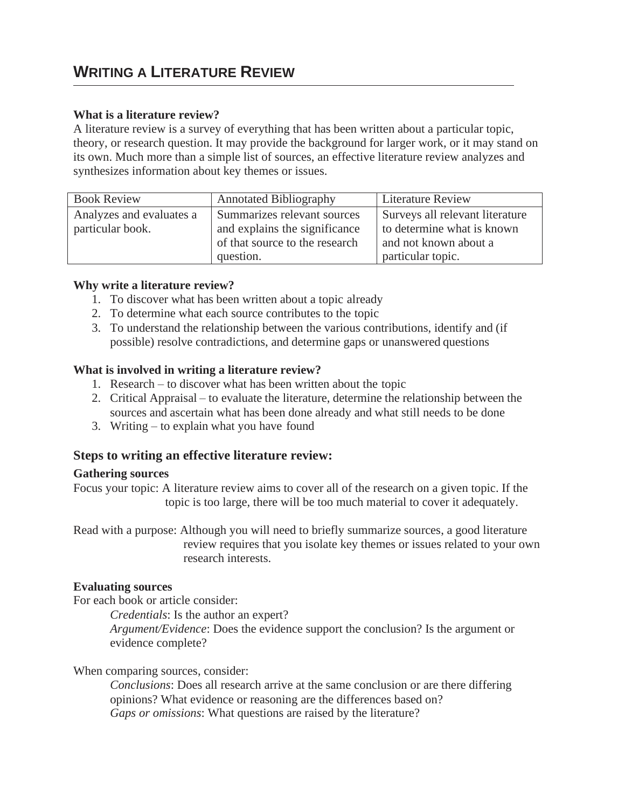# **WRITING A LITERATURE REVIEW**

## **What is a literature review?**

A literature review is a survey of everything that has been written about a particular topic, theory, or research question. It may provide the background for larger work, or it may stand on its own. Much more than a simple list of sources, an effective literature review analyzes and synthesizes information about key themes or issues.

| <b>Book Review</b>       | <b>Annotated Bibliography</b><br><b>Literature Review</b>      |                       |
|--------------------------|----------------------------------------------------------------|-----------------------|
| Analyzes and evaluates a | Surveys all relevant literature<br>Summarizes relevant sources |                       |
| particular book.         | to determine what is known<br>and explains the significance    |                       |
|                          | of that source to the research                                 | and not known about a |
|                          | question.                                                      | particular topic.     |

#### **Why write a literature review?**

- 1. To discover what has been written about a topic already
- 2. To determine what each source contributes to the topic
- 3. To understand the relationship between the various contributions, identify and (if possible) resolve contradictions, and determine gaps or unanswered questions

## **What is involved in writing a literature review?**

- 1. Research to discover what has been written about the topic
- 2. Critical Appraisal to evaluate the literature, determine the relationship between the sources and ascertain what has been done already and what still needs to be done
- 3. Writing to explain what you have found

# **Steps to writing an effective literature review:**

#### **Gathering sources**

Focus your topic: A literature review aims to cover all of the research on a given topic. If the topic is too large, there will be too much material to cover it adequately.

Read with a purpose: Although you will need to briefly summarize sources, a good literature review requires that you isolate key themes or issues related to your own research interests.

#### **Evaluating sources**

For each book or article consider:

*Credentials*: Is the author an expert?

*Argument/Evidence*: Does the evidence support the conclusion? Is the argument or evidence complete?

#### When comparing sources, consider:

*Conclusions*: Does all research arrive at the same conclusion or are there differing opinions? What evidence or reasoning are the differences based on? *Gaps or omissions*: What questions are raised by the literature?